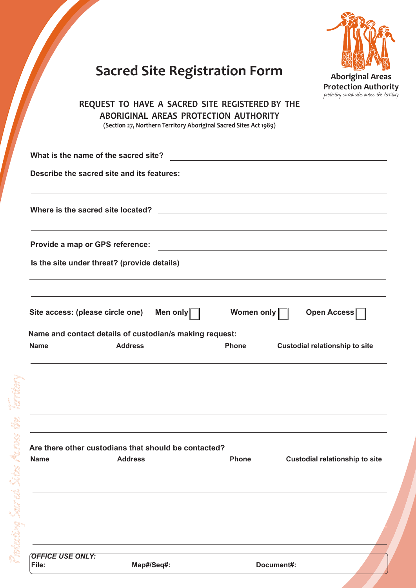|    | <b>Aboriginal Areas</b>                      |
|----|----------------------------------------------|
|    | <b>Protection Authority</b>                  |
|    | protecting sacred sites across the territory |
| HE |                                              |

# **Sacred Site Registration Form**

#### **REQUEST TO HAVE A SACRED SITE REGISTERED BY TI ABORIGINAL AREAS PROTECTION AUTHORITY (Section 27, Northern Territory Aboriginal Sacred Sites Act 1989)**

**Where is the sacred site located? What is the name of the sacred site? Name and contact details of custodian/s making request: Is the site under threat? (provide details) Describe the sacred site and its features:** Name Address Address Address **Phone** Custodial relationship to site **Are there other custodians that should be contacted?** Name Address Address Address **Phone** Custodial relationship to site **Provide a map or GPS reference:** Site access: (please circle one) Men only Nomen only Nomen only Open Access *OFFICE USE ONLY:* **File: Map#/Seq#: Document#:**

rotecting Sacred Sites Across the